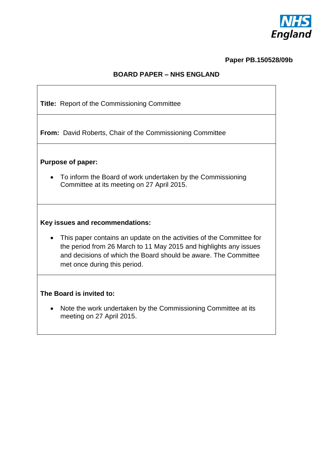

# **Paper PB.150528/09b**

## **BOARD PAPER – NHS ENGLAND**

| Title: Report of the Commissioning Committee                                                                                                                                                                                                 |
|----------------------------------------------------------------------------------------------------------------------------------------------------------------------------------------------------------------------------------------------|
| <b>From:</b> David Roberts, Chair of the Commissioning Committee                                                                                                                                                                             |
| <b>Purpose of paper:</b>                                                                                                                                                                                                                     |
| To inform the Board of work undertaken by the Commissioning<br>Committee at its meeting on 27 April 2015.                                                                                                                                    |
| Key issues and recommendations:                                                                                                                                                                                                              |
| This paper contains an update on the activities of the Committee for<br>the period from 26 March to 11 May 2015 and highlights any issues<br>and decisions of which the Board should be aware. The Committee<br>met once during this period. |
| The Board is invited to:                                                                                                                                                                                                                     |
| Note the work undertaken by the Commissioning Committee at its<br>$\bullet$<br>meeting on 27 April 2015.                                                                                                                                     |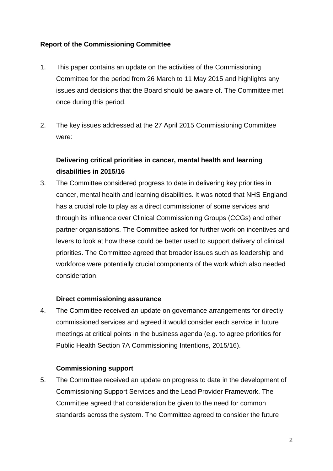## **Report of the Commissioning Committee**

- 1. This paper contains an update on the activities of the Commissioning Committee for the period from 26 March to 11 May 2015 and highlights any issues and decisions that the Board should be aware of. The Committee met once during this period.
- 2. The key issues addressed at the 27 April 2015 Commissioning Committee were:

# **Delivering critical priorities in cancer, mental health and learning disabilities in 2015/16**

3. The Committee considered progress to date in delivering key priorities in cancer, mental health and learning disabilities. It was noted that NHS England has a crucial role to play as a direct commissioner of some services and through its influence over Clinical Commissioning Groups (CCGs) and other partner organisations. The Committee asked for further work on incentives and levers to look at how these could be better used to support delivery of clinical priorities. The Committee agreed that broader issues such as leadership and workforce were potentially crucial components of the work which also needed consideration.

#### **Direct commissioning assurance**

4. The Committee received an update on governance arrangements for directly commissioned services and agreed it would consider each service in future meetings at critical points in the business agenda (e.g. to agree priorities for Public Health Section 7A Commissioning Intentions, 2015/16).

#### **Commissioning support**

5. The Committee received an update on progress to date in the development of Commissioning Support Services and the Lead Provider Framework. The Committee agreed that consideration be given to the need for common standards across the system. The Committee agreed to consider the future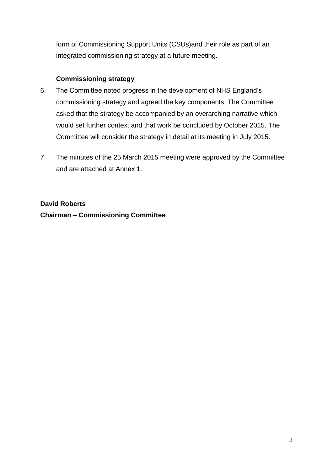form of Commissioning Support Units (CSUs)and their role as part of an integrated commissioning strategy at a future meeting.

### **Commissioning strategy**

- 6. The Committee noted progress in the development of NHS England's commissioning strategy and agreed the key components. The Committee asked that the strategy be accompanied by an overarching narrative which would set further context and that work be concluded by October 2015. The Committee will consider the strategy in detail at its meeting in July 2015.
- 7. The minutes of the 25 March 2015 meeting were approved by the Committee and are attached at Annex 1.

**David Roberts Chairman – Commissioning Committee**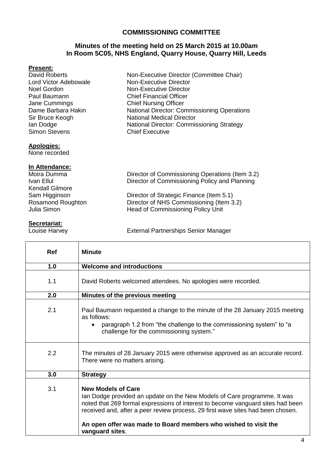#### **COMMISSIONING COMMITTEE**

#### **Minutes of the meeting held on 25 March 2015 at 10.00am In Room 5C05, NHS England, Quarry House, Quarry Hill, Leeds**

#### **Present:**

| David Roberts         | Non-Executive Director (Committee Chair)    |
|-----------------------|---------------------------------------------|
| Lord Victor Adebowale | <b>Non-Executive Director</b>               |
| Noel Gordon           | <b>Non-Executive Director</b>               |
| Paul Baumann          | <b>Chief Financial Officer</b>              |
| Jane Cummings         | <b>Chief Nursing Officer</b>                |
| Dame Barbara Hakin    | National Director: Commissioning Operations |
| Sir Bruce Keogh       | <b>National Medical Director</b>            |
| lan Dodge             | National Director: Commissioning Strategy   |
| <b>Simon Stevens</b>  | <b>Chief Executive</b>                      |
| <b>Apologies:</b>     |                                             |
| Nono ropordod         |                                             |

None recorded

#### **In Attendance:**

| Moira Dumma            | Director of Commissioning Operations (Item 3.2) |
|------------------------|-------------------------------------------------|
| Ivan Ellul             | Director of Commissioning Policy and Planning   |
| <b>Kendall Gilmore</b> |                                                 |
| Sam Higginson          | Director of Strategic Finance (Item 5.1)        |
| Rosamond Roughton      | Director of NHS Commissioning (Item 3.2)        |
| Julia Simon            | Head of Commissioning Policy Unit               |
|                        |                                                 |

**Secretariat:**<br>Louise Harvey

External Partnerships Senior Manager

| <b>Ref</b> | <b>Minute</b>                                                                                                                                                                                                                                                                                                                                                     |
|------------|-------------------------------------------------------------------------------------------------------------------------------------------------------------------------------------------------------------------------------------------------------------------------------------------------------------------------------------------------------------------|
| 1.0        | <b>Welcome and introductions</b>                                                                                                                                                                                                                                                                                                                                  |
| 1.1        | David Roberts welcomed attendees. No apologies were recorded.                                                                                                                                                                                                                                                                                                     |
| 2.0        | Minutes of the previous meeting                                                                                                                                                                                                                                                                                                                                   |
| 2.1        | Paul Baumann requested a change to the minute of the 28 January 2015 meeting<br>as follows:<br>paragraph 1.2 from "the challenge to the commissioning system" to "a<br>$\bullet$<br>challenge for the commissioning system."                                                                                                                                      |
| 2.2        | The minutes of 28 January 2015 were otherwise approved as an accurate record.<br>There were no matters arising.                                                                                                                                                                                                                                                   |
| 3.0        | <b>Strategy</b>                                                                                                                                                                                                                                                                                                                                                   |
| 3.1        | <b>New Models of Care</b><br>lan Dodge provided an update on the New Models of Care programme. It was<br>noted that 269 formal expressions of interest to become vanguard sites had been<br>received and, after a peer review process, 29 first wave sites had been chosen.<br>An open offer was made to Board members who wished to visit the<br>vanguard sites. |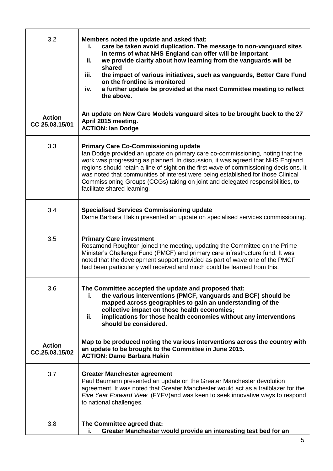| 3.2                             | Members noted the update and asked that:<br>care be taken avoid duplication. The message to non-vanguard sites<br>i.<br>in terms of what NHS England can offer will be important<br>we provide clarity about how learning from the vanguards will be<br>ii.<br>shared<br>the impact of various initiatives, such as vanguards, Better Care Fund<br>iii.<br>on the frontline is monitored<br>a further update be provided at the next Committee meeting to reflect<br>iv.<br>the above.                         |
|---------------------------------|----------------------------------------------------------------------------------------------------------------------------------------------------------------------------------------------------------------------------------------------------------------------------------------------------------------------------------------------------------------------------------------------------------------------------------------------------------------------------------------------------------------|
| <b>Action</b><br>CC 25.03.15/01 | An update on New Care Models vanguard sites to be brought back to the 27<br>April 2015 meeting.<br><b>ACTION: Ian Dodge</b>                                                                                                                                                                                                                                                                                                                                                                                    |
| 3.3                             | <b>Primary Care Co-Commissioning update</b><br>Ian Dodge provided an update on primary care co-commissioning, noting that the<br>work was progressing as planned. In discussion, it was agreed that NHS England<br>regions should retain a line of sight on the first wave of commissioning decisions. It<br>was noted that communities of interest were being established for those Clinical<br>Commissioning Groups (CCGs) taking on joint and delegated responsibilities, to<br>facilitate shared learning. |
| 3.4                             | <b>Specialised Services Commissioning update</b><br>Dame Barbara Hakin presented an update on specialised services commissioning.                                                                                                                                                                                                                                                                                                                                                                              |
| 3.5                             | <b>Primary Care investment</b><br>Rosamond Roughton joined the meeting, updating the Committee on the Prime<br>Minister's Challenge Fund (PMCF) and primary care infrastructure fund. It was<br>noted that the development support provided as part of wave one of the PMCF<br>had been particularly well received and much could be learned from this.                                                                                                                                                        |
| 3.6                             | The Committee accepted the update and proposed that:<br>the various interventions (PMCF, vanguards and BCF) should be<br>Ĺ.<br>mapped across geographies to gain an understanding of the<br>collective impact on those health economies;<br>implications for those health economies without any interventions<br>ii.<br>should be considered.                                                                                                                                                                  |
| <b>Action</b><br>CC.25.03.15/02 | Map to be produced noting the various interventions across the country with<br>an update to be brought to the Committee in June 2015.<br><b>ACTION: Dame Barbara Hakin</b>                                                                                                                                                                                                                                                                                                                                     |
| 3.7                             | <b>Greater Manchester agreement</b><br>Paul Baumann presented an update on the Greater Manchester devolution<br>agreement. It was noted that Greater Manchester would act as a trailblazer for the<br>Five Year Forward View (FYFV) and was keen to seek innovative ways to respond<br>to national challenges.                                                                                                                                                                                                 |
| 3.8                             | The Committee agreed that:<br>Greater Manchester would provide an interesting test bed for an<br>i.                                                                                                                                                                                                                                                                                                                                                                                                            |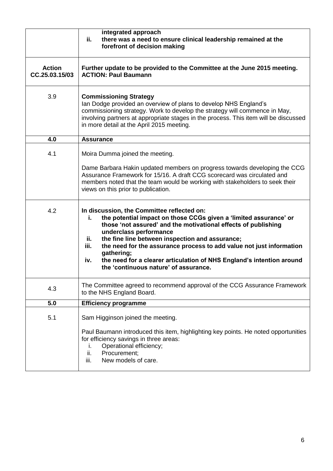|                                 | integrated approach<br>ii.<br>there was a need to ensure clinical leadership remained at the<br>forefront of decision making                                                                                                                                                                                                                                                                                                                                                                       |
|---------------------------------|----------------------------------------------------------------------------------------------------------------------------------------------------------------------------------------------------------------------------------------------------------------------------------------------------------------------------------------------------------------------------------------------------------------------------------------------------------------------------------------------------|
| <b>Action</b><br>CC.25.03.15/03 | Further update to be provided to the Committee at the June 2015 meeting.<br><b>ACTION: Paul Baumann</b>                                                                                                                                                                                                                                                                                                                                                                                            |
| 3.9                             | <b>Commissioning Strategy</b><br>Ian Dodge provided an overview of plans to develop NHS England's<br>commissioning strategy. Work to develop the strategy will commence in May,<br>involving partners at appropriate stages in the process. This item will be discussed<br>in more detail at the April 2015 meeting.                                                                                                                                                                               |
| 4.0                             | <b>Assurance</b>                                                                                                                                                                                                                                                                                                                                                                                                                                                                                   |
| 4.1                             | Moira Dumma joined the meeting.                                                                                                                                                                                                                                                                                                                                                                                                                                                                    |
|                                 | Dame Barbara Hakin updated members on progress towards developing the CCG<br>Assurance Framework for 15/16. A draft CCG scorecard was circulated and<br>members noted that the team would be working with stakeholders to seek their<br>views on this prior to publication.                                                                                                                                                                                                                        |
| 4.2                             | In discussion, the Committee reflected on:<br>the potential impact on those CCGs given a 'limited assurance' or<br>i.<br>those 'not assured' and the motivational effects of publishing<br>underclass performance<br>the fine line between inspection and assurance;<br>ii.<br>iii.<br>the need for the assurance process to add value not just information<br>gathering;<br>the need for a clearer articulation of NHS England's intention around<br>iv.<br>the 'continuous nature' of assurance. |
| 4.3                             | The Committee agreed to recommend approval of the CCG Assurance Framework<br>to the NHS England Board.                                                                                                                                                                                                                                                                                                                                                                                             |
| 5.0                             | <b>Efficiency programme</b>                                                                                                                                                                                                                                                                                                                                                                                                                                                                        |
| 5.1                             | Sam Higginson joined the meeting.                                                                                                                                                                                                                                                                                                                                                                                                                                                                  |
|                                 | Paul Baumann introduced this item, highlighting key points. He noted opportunities<br>for efficiency savings in three areas:<br>Operational efficiency;<br>ı.<br>ii.<br>Procurement;<br>iii.<br>New models of care.                                                                                                                                                                                                                                                                                |